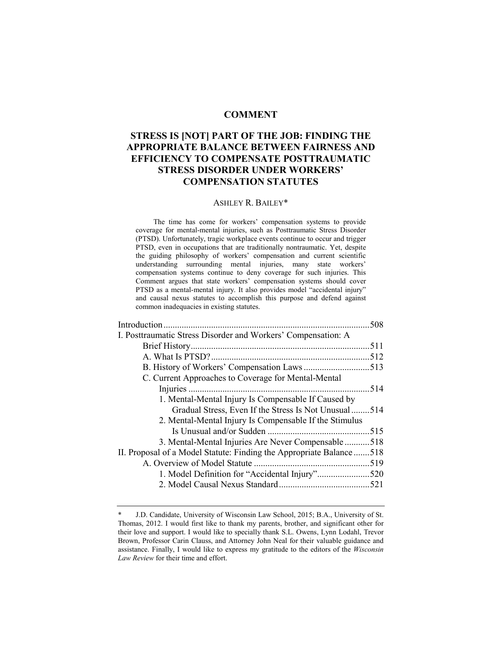### **COMMENT**

# **STRESS IS [NOT] PART OF THE JOB: FINDING THE APPROPRIATE BALANCE BETWEEN FAIRNESS AND EFFICIENCY TO COMPENSATE POSTTRAUMATIC STRESS DISORDER UNDER WORKERS' COMPENSATION STATUTES**

#### ASHLEY R. BAILEY\*

The time has come for workers' compensation systems to provide coverage for mental-mental injuries, such as Posttraumatic Stress Disorder (PTSD). Unfortunately, tragic workplace events continue to occur and trigger PTSD, even in occupations that are traditionally nontraumatic. Yet, despite the guiding philosophy of workers' compensation and current scientific understanding surrounding mental injuries, many state workers' compensation systems continue to deny coverage for such injuries. This Comment argues that state workers' compensation systems should cover PTSD as a mental-mental injury. It also provides model "accidental injury" and causal nexus statutes to accomplish this purpose and defend against common inadequacies in existing statutes.

|                                                                     | 508 |
|---------------------------------------------------------------------|-----|
| I. Posttraumatic Stress Disorder and Workers' Compensation: A       |     |
|                                                                     |     |
|                                                                     |     |
|                                                                     |     |
| C. Current Approaches to Coverage for Mental-Mental                 |     |
|                                                                     |     |
| 1. Mental-Mental Injury Is Compensable If Caused by                 |     |
| Gradual Stress, Even If the Stress Is Not Unusual514                |     |
| 2. Mental-Mental Injury Is Compensable If the Stimulus              |     |
|                                                                     |     |
| 3. Mental-Mental Injuries Are Never Compensable 518                 |     |
| II. Proposal of a Model Statute: Finding the Appropriate Balance518 |     |
|                                                                     |     |
| 1. Model Definition for "Accidental Injury"520                      |     |
|                                                                     |     |
|                                                                     |     |

<sup>\*</sup> J.D. Candidate, University of Wisconsin Law School, 2015; B.A., University of St. Thomas, 2012. I would first like to thank my parents, brother, and significant other for their love and support. I would like to specially thank S.L. Owens, Lynn Lodahl, Trevor Brown, Professor Carin Clauss, and Attorney John Neal for their valuable guidance and assistance. Finally, I would like to express my gratitude to the editors of the *Wisconsin Law Review* for their time and effort.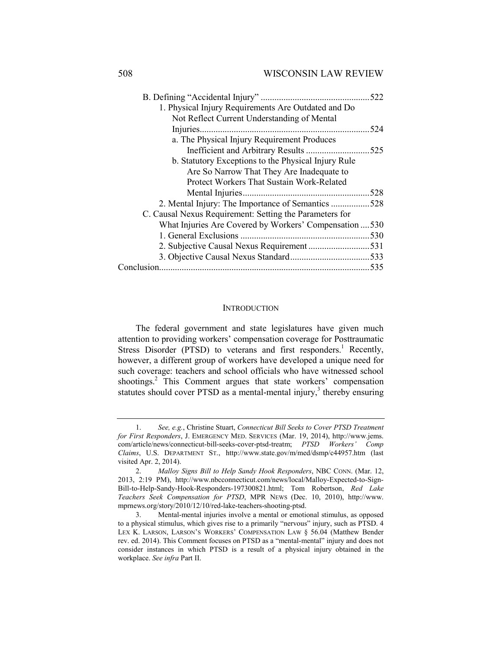|                                                         | 522  |
|---------------------------------------------------------|------|
| 1. Physical Injury Requirements Are Outdated and Do     |      |
| Not Reflect Current Understanding of Mental             |      |
|                                                         | .524 |
| a. The Physical Injury Requirement Produces             |      |
|                                                         | 525  |
| b. Statutory Exceptions to the Physical Injury Rule     |      |
| Are So Narrow That They Are Inadequate to               |      |
| Protect Workers That Sustain Work-Related               |      |
|                                                         |      |
|                                                         | .528 |
| C. Causal Nexus Requirement: Setting the Parameters for |      |
| What Injuries Are Covered by Workers' Compensation  530 |      |
|                                                         | .530 |
|                                                         |      |
|                                                         |      |
|                                                         | .535 |
|                                                         |      |

#### **INTRODUCTION**

The federal government and state legislatures have given much attention to providing workers' compensation coverage for Posttraumatic Stress Disorder (PTSD) to veterans and first responders.<sup>1</sup> Recently, however, a different group of workers have developed a unique need for such coverage: teachers and school officials who have witnessed school shootings.<sup>2</sup> This Comment argues that state workers' compensation statutes should cover PTSD as a mental-mental injury,<sup>3</sup> thereby ensuring

<sup>1.</sup> *See, e.g.*, Christine Stuart, *Connecticut Bill Seeks to Cover PTSD Treatment for First Responders*, J. EMERGENCY MED. SERVICES (Mar. 19, 2014), http://www.jems. com/article/news/connecticut-bill-seeks-cover-ptsd-treatm; *PTSD Workers' Comp Claims*, U.S. DEPARTMENT ST., http://www.state.gov/m/med/dsmp/c44957.htm (last visited Apr. 2, 2014).

<sup>2.</sup> *Malloy Signs Bill to Help Sandy Hook Responders*, NBC CONN. (Mar. 12, 2013, 2:19 PM), http://www.nbcconnecticut.com/news/local/Malloy-Expected-to-Sign-Bill-to-Help-Sandy-Hook-Responders-197300821.html; Tom Robertson, *Red Lake Teachers Seek Compensation for PTSD*, MPR NEWS (Dec. 10, 2010), http://www. mprnews.org/story/2010/12/10/red-lake-teachers-shooting-ptsd.

<sup>3.</sup> Mental-mental injuries involve a mental or emotional stimulus, as opposed to a physical stimulus, which gives rise to a primarily "nervous" injury, such as PTSD. 4 LEX K. LARSON, LARSON'S WORKERS' COMPENSATION LAW § 56.04 (Matthew Bender rev. ed. 2014). This Comment focuses on PTSD as a "mental-mental" injury and does not consider instances in which PTSD is a result of a physical injury obtained in the workplace. *See infra* Part II.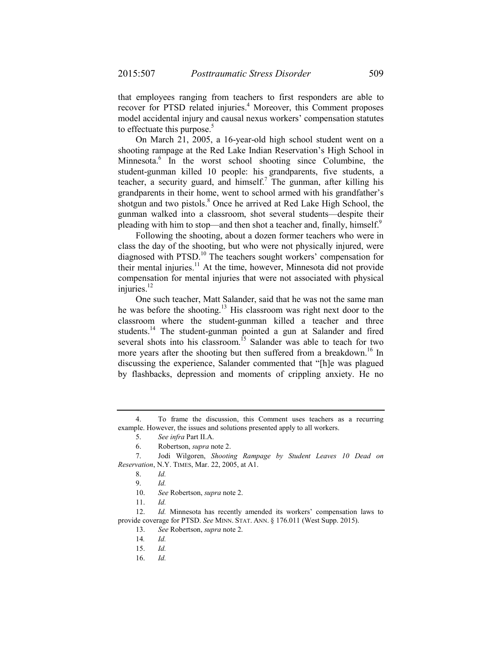that employees ranging from teachers to first responders are able to recover for PTSD related injuries.<sup>4</sup> Moreover, this Comment proposes model accidental injury and causal nexus workers' compensation statutes to effectuate this purpose.<sup>5</sup>

On March 21, 2005, a 16-year-old high school student went on a shooting rampage at the Red Lake Indian Reservation's High School in Minnesota.6 In the worst school shooting since Columbine, the student-gunman killed 10 people: his grandparents, five students, a teacher, a security guard, and himself.<sup>7</sup> The gunman, after killing his grandparents in their home, went to school armed with his grandfather's shotgun and two pistols.<sup>8</sup> Once he arrived at Red Lake High School, the gunman walked into a classroom, shot several students—despite their pleading with him to stop—and then shot a teacher and, finally, himself.<sup>9</sup>

Following the shooting, about a dozen former teachers who were in class the day of the shooting, but who were not physically injured, were diagnosed with PTSD.<sup>10</sup> The teachers sought workers' compensation for their mental injuries.<sup>11</sup> At the time, however, Minnesota did not provide compensation for mental injuries that were not associated with physical injuries. $^{12}$ 

One such teacher, Matt Salander, said that he was not the same man he was before the shooting.<sup>13</sup> His classroom was right next door to the classroom where the student-gunman killed a teacher and three students.<sup>14</sup> The student-gunman pointed a gun at Salander and fired several shots into his classroom.<sup>15</sup> Salander was able to teach for two more years after the shooting but then suffered from a breakdown.<sup>16</sup> In discussing the experience, Salander commented that "[h]e was plagued by flashbacks, depression and moments of crippling anxiety. He no

12. *Id.* Minnesota has recently amended its workers' compensation laws to provide coverage for PTSD. *See* MINN. STAT. ANN. § 176.011 (West Supp. 2015).

16. *Id.*

<sup>4.</sup> To frame the discussion, this Comment uses teachers as a recurring example. However, the issues and solutions presented apply to all workers.

<sup>5.</sup> *See infra* Part II.A.

<sup>6.</sup> Robertson, *supra* note 2.

<sup>7.</sup> Jodi Wilgoren, *Shooting Rampage by Student Leaves 10 Dead on Reservation*, N.Y. TIMES, Mar. 22, 2005, at A1.

<sup>8.</sup> *Id.*

<sup>9.</sup> *Id.*

<sup>10.</sup> *See* Robertson, *supra* note 2.

<sup>11.</sup> *Id.*

<sup>13.</sup> *See* Robertson, *supra* note 2.

<sup>14</sup>*. Id.*

<sup>15.</sup> *Id.*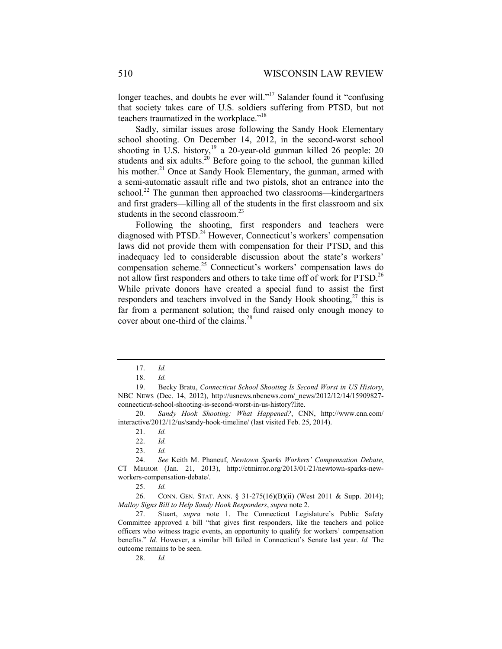longer teaches, and doubts he ever will."<sup>17</sup> Salander found it "confusing that society takes care of U.S. soldiers suffering from PTSD, but not teachers traumatized in the workplace."<sup>18</sup>

Sadly, similar issues arose following the Sandy Hook Elementary school shooting. On December 14, 2012, in the second-worst school shooting in U.S. history,<sup>19</sup> a 20-year-old gunman killed 26 people: 20 students and six adults.<sup>20</sup> Before going to the school, the gunman killed his mother.<sup>21</sup> Once at Sandy Hook Elementary, the gunman, armed with a semi-automatic assault rifle and two pistols, shot an entrance into the school.<sup>22</sup> The gunman then approached two classrooms—kindergartners and first graders—killing all of the students in the first classroom and six students in the second classroom. $^{23}$ 

Following the shooting, first responders and teachers were diagnosed with PTSD.<sup>24</sup> However, Connecticut's workers' compensation laws did not provide them with compensation for their PTSD, and this inadequacy led to considerable discussion about the state's workers' compensation scheme.25 Connecticut's workers' compensation laws do not allow first responders and others to take time off of work for PTSD.<sup>26</sup> While private donors have created a special fund to assist the first responders and teachers involved in the Sandy Hook shooting,  $2^7$  this is far from a permanent solution; the fund raised only enough money to cover about one-third of the claims.<sup>28</sup>

<sup>17.</sup> *Id.*

<sup>18.</sup> *Id.*

<sup>19.</sup> Becky Bratu, *Connecticut School Shooting Is Second Worst in US History*, NBC NEWS (Dec. 14, 2012), http://usnews.nbcnews.com/\_news/2012/12/14/15909827 connecticut-school-shooting-is-second-worst-in-us-history?lite.

<sup>20.</sup> *Sandy Hook Shooting: What Happened?*, CNN, http://www.cnn.com/ interactive/2012/12/us/sandy-hook-timeline/ (last visited Feb. 25, 2014).

<sup>21.</sup> *Id.*

<sup>22.</sup> *Id.*

<sup>23.</sup> *Id.*

<sup>24.</sup> *See* Keith M. Phaneuf, *Newtown Sparks Workers' Compensation Debate*, CT MIRROR (Jan. 21, 2013), http://ctmirror.org/2013/01/21/newtown-sparks-newworkers-compensation-debate/.

<sup>25.</sup> *Id.*

<sup>26.</sup> CONN. GEN. STAT. ANN. § 31-275(16)(B)(ii) (West 2011 & Supp. 2014); *Malloy Signs Bill to Help Sandy Hook Responders*, *supra* note 2.

<sup>27.</sup> Stuart, *supra* note 1. The Connecticut Legislature's Public Safety Committee approved a bill "that gives first responders, like the teachers and police officers who witness tragic events, an opportunity to qualify for workers' compensation benefits." *Id.* However, a similar bill failed in Connecticut's Senate last year. *Id.* The outcome remains to be seen.

<sup>28.</sup> *Id.*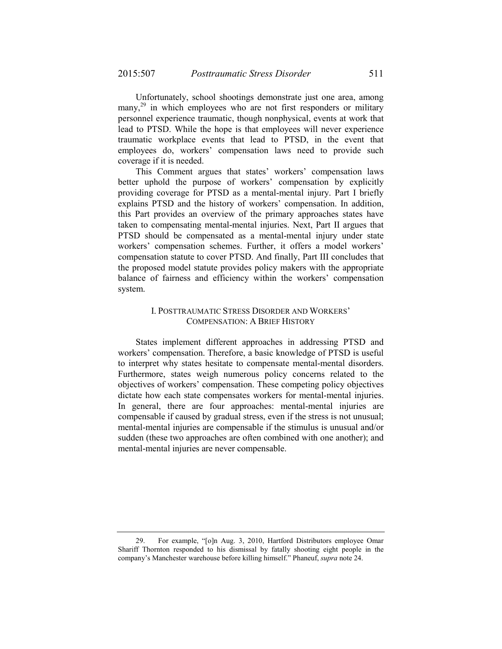Unfortunately, school shootings demonstrate just one area, among many, $^{29}$  in which employees who are not first responders or military personnel experience traumatic, though nonphysical, events at work that lead to PTSD. While the hope is that employees will never experience traumatic workplace events that lead to PTSD, in the event that employees do, workers' compensation laws need to provide such coverage if it is needed.

This Comment argues that states' workers' compensation laws better uphold the purpose of workers' compensation by explicitly providing coverage for PTSD as a mental-mental injury. Part I briefly explains PTSD and the history of workers' compensation. In addition, this Part provides an overview of the primary approaches states have taken to compensating mental-mental injuries. Next, Part II argues that PTSD should be compensated as a mental-mental injury under state workers' compensation schemes. Further, it offers a model workers' compensation statute to cover PTSD. And finally, Part III concludes that the proposed model statute provides policy makers with the appropriate balance of fairness and efficiency within the workers' compensation system.

### I. POSTTRAUMATIC STRESS DISORDER AND WORKERS' COMPENSATION: A BRIEF HISTORY

States implement different approaches in addressing PTSD and workers' compensation. Therefore, a basic knowledge of PTSD is useful to interpret why states hesitate to compensate mental-mental disorders. Furthermore, states weigh numerous policy concerns related to the objectives of workers' compensation. These competing policy objectives dictate how each state compensates workers for mental-mental injuries. In general, there are four approaches: mental-mental injuries are compensable if caused by gradual stress, even if the stress is not unusual; mental-mental injuries are compensable if the stimulus is unusual and/or sudden (these two approaches are often combined with one another); and mental-mental injuries are never compensable.

<sup>29.</sup> For example, "[o]n Aug. 3, 2010, Hartford Distributors employee Omar Shariff Thornton responded to his dismissal by fatally shooting eight people in the company's Manchester warehouse before killing himself." Phaneuf, *supra* note 24.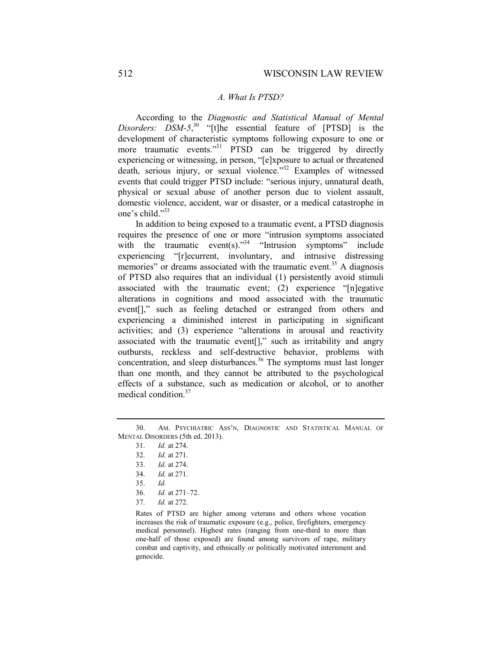#### *A. What Is PTSD?*

According to the *Diagnostic and Statistical Manual of Mental*  Disorders: DSM-5,<sup>30</sup> "[t]he essential feature of [PTSD] is the development of characteristic symptoms following exposure to one or more traumatic events."<sup>31</sup> PTSD can be triggered by directly experiencing or witnessing, in person, "[e]xposure to actual or threatened death, serious injury, or sexual violence."<sup>32</sup> Examples of witnessed events that could trigger PTSD include: "serious injury, unnatural death, physical or sexual abuse of another person due to violent assault, domestic violence, accident, war or disaster, or a medical catastrophe in one's child."33

In addition to being exposed to a traumatic event, a PTSD diagnosis requires the presence of one or more "intrusion symptoms associated with the traumatic event(s). $1.34$  "Intrusion symptoms" include experiencing "[r]ecurrent, involuntary, and intrusive distressing memories" or dreams associated with the traumatic event.<sup>35</sup> A diagnosis of PTSD also requires that an individual (1) persistently avoid stimuli associated with the traumatic event; (2) experience "[n]egative alterations in cognitions and mood associated with the traumatic event[]," such as feeling detached or estranged from others and experiencing a diminished interest in participating in significant activities; and (3) experience "alterations in arousal and reactivity associated with the traumatic event[]," such as irritability and angry outbursts, reckless and self-destructive behavior, problems with concentration, and sleep disturbances.<sup>36</sup> The symptoms must last longer than one month, and they cannot be attributed to the psychological effects of a substance, such as medication or alcohol, or to another medical condition.<sup>37</sup>

- 35. *Id.*
- 36. *Id.* at 271–72.
- 37. *Id.* at 272.

Rates of PTSD are higher among veterans and others whose vocation increases the risk of traumatic exposure (e.g., police, firefighters, emergency medical personnel). Highest rates (ranging from one-third to more than one-half of those exposed) are found among survivors of rape, military combat and captivity, and ethnically or politically motivated internment and genocide.

<sup>30.</sup> AM. PSYCHIATRIC ASS'N, DIAGNOSTIC AND STATISTICAL MANUAL OF MENTAL DISORDERS (5th ed. 2013).

<sup>31.</sup> *Id.* at 274.

<sup>32.</sup> *Id.* at 271.

<sup>33.</sup> *Id.* at 274.

<sup>34.</sup> *Id.* at 271.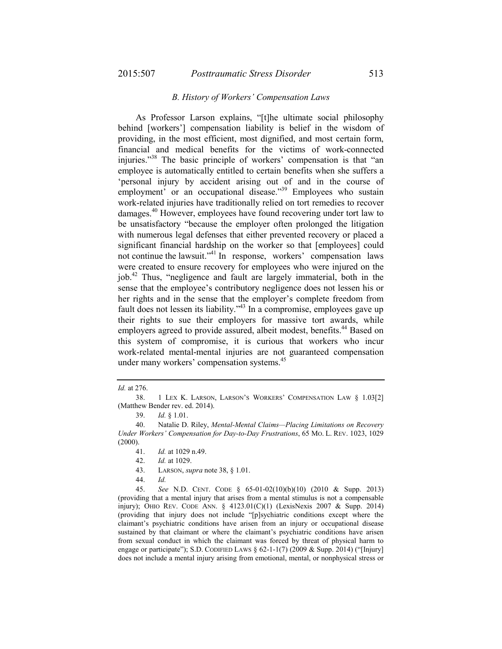#### *B. History of Workers' Compensation Laws*

As Professor Larson explains, "[t]he ultimate social philosophy behind [workers'] compensation liability is belief in the wisdom of providing, in the most efficient, most dignified, and most certain form, financial and medical benefits for the victims of work-connected injuries."38 The basic principle of workers' compensation is that "an employee is automatically entitled to certain benefits when she suffers a 'personal injury by accident arising out of and in the course of employment' or an occupational disease."<sup>39</sup> Employees who sustain work-related injuries have traditionally relied on tort remedies to recover damages.40 However, employees have found recovering under tort law to be unsatisfactory "because the employer often prolonged the litigation with numerous legal defenses that either prevented recovery or placed a significant financial hardship on the worker so that [employees] could not continue the lawsuit." $\frac{1}{1}$  in response, workers' compensation laws were created to ensure recovery for employees who were injured on the job.42 Thus, "negligence and fault are largely immaterial, both in the sense that the employee's contributory negligence does not lessen his or her rights and in the sense that the employer's complete freedom from fault does not lessen its liability."43 In a compromise, employees gave up their rights to sue their employers for massive tort awards, while employers agreed to provide assured, albeit modest, benefits.<sup>44</sup> Based on this system of compromise, it is curious that workers who incur work-related mental-mental injuries are not guaranteed compensation under many workers' compensation systems.<sup>45</sup>

*Id.* at 276.

<sup>38.</sup> 1 LEX K. LARSON, LARSON'S WORKERS' COMPENSATION LAW § 1.03[2] (Matthew Bender rev. ed. 2014).

<sup>39.</sup> *Id.* § 1.01.

<sup>40.</sup> Natalie D. Riley, *Mental-Mental Claims—Placing Limitations on Recovery Under Workers' Compensation for Day-to-Day Frustrations*, 65 MO. L. REV. 1023, 1029 (2000).

<sup>41.</sup> *Id.* at 1029 n.49.

<sup>42.</sup> *Id.* at 1029.

<sup>43.</sup> LARSON, *supra* note 38, § 1.01.

<sup>44.</sup> *Id.*

<sup>45.</sup> *See* N.D. CENT. CODE § 65-01-02(10)(b)(10) (2010 & Supp. 2013) (providing that a mental injury that arises from a mental stimulus is not a compensable injury); OHIO REV. CODE ANN. §  $4123.01(C)(1)$  (LexisNexis 2007 & Supp. 2014) (providing that injury does not include "[p]sychiatric conditions except where the claimant's psychiatric conditions have arisen from an injury or occupational disease sustained by that claimant or where the claimant's psychiatric conditions have arisen from sexual conduct in which the claimant was forced by threat of physical harm to engage or participate"); S.D. CODIFIED LAWS  $\S 62$ -1-1(7) (2009 & Supp. 2014) ("[Injury] does not include a mental injury arising from emotional, mental, or nonphysical stress or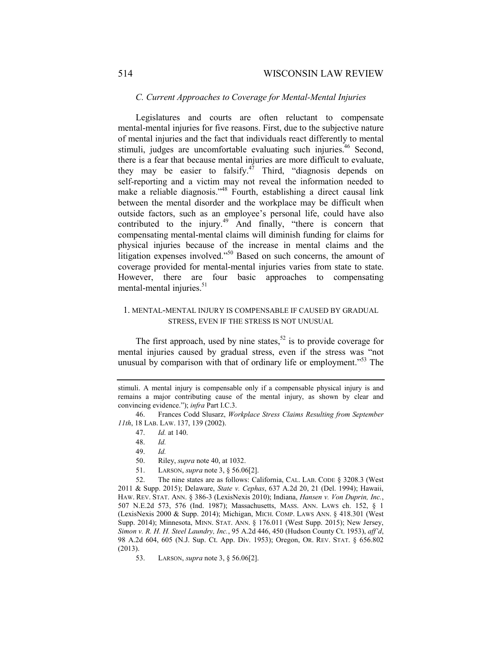#### *C. Current Approaches to Coverage for Mental-Mental Injuries*

Legislatures and courts are often reluctant to compensate mental-mental injuries for five reasons. First, due to the subjective nature of mental injuries and the fact that individuals react differently to mental stimuli, judges are uncomfortable evaluating such injuries.<sup>46</sup> Second, there is a fear that because mental injuries are more difficult to evaluate, they may be easier to falsify. $47$  Third, "diagnosis depends on self-reporting and a victim may not reveal the information needed to make a reliable diagnosis."<sup>48</sup> Fourth, establishing a direct causal link between the mental disorder and the workplace may be difficult when outside factors, such as an employee's personal life, could have also contributed to the injury.<sup>49</sup> And finally, "there is concern that compensating mental-mental claims will diminish funding for claims for physical injuries because of the increase in mental claims and the litigation expenses involved."<sup>50</sup> Based on such concerns, the amount of coverage provided for mental-mental injuries varies from state to state. However, there are four basic approaches to compensating mental-mental injuries.<sup>51</sup>

### 1. MENTAL-MENTAL INJURY IS COMPENSABLE IF CAUSED BY GRADUAL STRESS, EVEN IF THE STRESS IS NOT UNUSUAL

The first approach, used by nine states,<sup>52</sup> is to provide coverage for mental injuries caused by gradual stress, even if the stress was "not unusual by comparison with that of ordinary life or employment."<sup>53</sup> The

51. LARSON, *supra* note 3, § 56.06[2].

52. The nine states are as follows: California, CAL. LAB. CODE § 3208.3 (West 2011 & Supp. 2015); Delaware, *State v. Cephas*, 637 A.2d 20, 21 (Del. 1994); Hawaii, HAW. REV. STAT. ANN. § 386-3 (LexisNexis 2010); Indiana, *Hansen v. Von Duprin, Inc.*, 507 N.E.2d 573, 576 (Ind. 1987); Massachusetts, MASS. ANN. LAWS ch. 152, § 1 (LexisNexis 2000 & Supp. 2014); Michigan, MICH. COMP. LAWS ANN. § 418.301 (West Supp. 2014); Minnesota, MINN. STAT. ANN. § 176.011 (West Supp. 2015); New Jersey, *Simon v. R. H. H. Steel Laundry, Inc.*, 95 A.2d 446, 450 (Hudson County Ct. 1953), *aff'd*, 98 A.2d 604, 605 (N.J. Sup. Ct. App. Div. 1953); Oregon, OR. REV. STAT. § 656.802 (2013).

53. LARSON, *supra* note 3, § 56.06[2].

stimuli. A mental injury is compensable only if a compensable physical injury is and remains a major contributing cause of the mental injury, as shown by clear and convincing evidence."); *infra* Part I.C.3.

<sup>46.</sup> Frances Codd Slusarz, *Workplace Stress Claims Resulting from September 11th*, 18 LAB. LAW. 137, 139 (2002).

<sup>47.</sup> *Id.* at 140.

<sup>48.</sup> *Id.*

<sup>49.</sup> *Id.*

<sup>50.</sup> Riley, *supra* note 40, at 1032.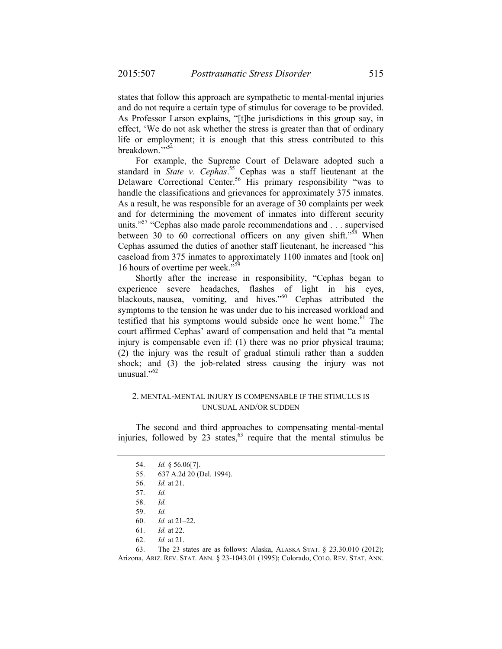states that follow this approach are sympathetic to mental-mental injuries and do not require a certain type of stimulus for coverage to be provided. As Professor Larson explains, "[t]he jurisdictions in this group say, in effect, 'We do not ask whether the stress is greater than that of ordinary life or employment; it is enough that this stress contributed to this breakdown."<sup>54</sup>

For example, the Supreme Court of Delaware adopted such a standard in *State v. Cephas*. 55 Cephas was a staff lieutenant at the Delaware Correctional Center.<sup>56</sup> His primary responsibility "was to handle the classifications and grievances for approximately 375 inmates. As a result, he was responsible for an average of 30 complaints per week and for determining the movement of inmates into different security units."<sup>57</sup> "Cephas also made parole recommendations and . . . supervised between 30 to 60 correctional officers on any given shift." $58$  When Cephas assumed the duties of another staff lieutenant, he increased "his caseload from 375 inmates to approximately 1100 inmates and [took on] 16 hours of overtime per week."

Shortly after the increase in responsibility, "Cephas began to experience severe headaches, flashes of light in his eyes, blackouts, nausea, vomiting, and hives."<sup>60</sup> Cephas attributed the symptoms to the tension he was under due to his increased workload and testified that his symptoms would subside once he went home.<sup>61</sup> The court affirmed Cephas' award of compensation and held that "a mental injury is compensable even if: (1) there was no prior physical trauma; (2) the injury was the result of gradual stimuli rather than a sudden shock; and (3) the job-related stress causing the injury was not unusual." $62$ 

### 2. MENTAL-MENTAL INJURY IS COMPENSABLE IF THE STIMULUS IS UNUSUAL AND/OR SUDDEN

The second and third approaches to compensating mental-mental injuries, followed by 23 states,  $63$  require that the mental stimulus be

<sup>54.</sup> *Id.* § 56.06[7].

<sup>55.</sup> 637 A.2d 20 (Del. 1994).

<sup>56.</sup> *Id.* at 21.

<sup>57.</sup> *Id.*

<sup>58.</sup> *Id.*

<sup>59.</sup> *Id.*

<sup>60.</sup> *Id.* at 21–22.

<sup>61.</sup> *Id.* at 22.

<sup>62.</sup> *Id.* at 21.

<sup>63.</sup> The 23 states are as follows: Alaska, ALASKA STAT. § 23.30.010 (2012); Arizona, ARIZ. REV. STAT. ANN. § 23-1043.01 (1995); Colorado, COLO. REV. STAT. ANN.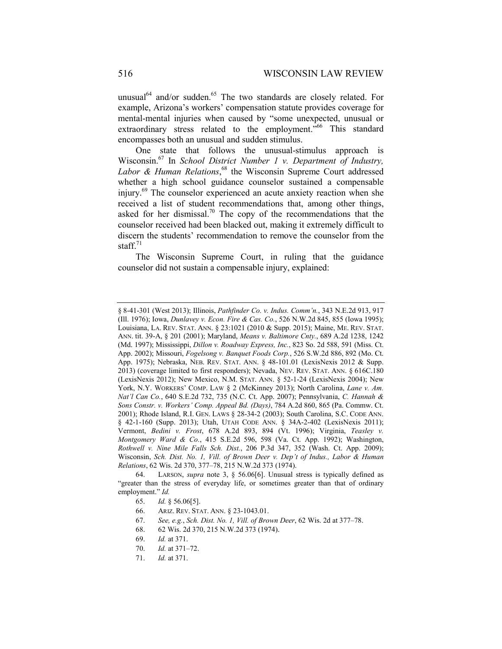unusual<sup>64</sup> and/or sudden.<sup>65</sup> The two standards are closely related. For example, Arizona's workers' compensation statute provides coverage for mental-mental injuries when caused by "some unexpected, unusual or extraordinary stress related to the employment."<sup>66</sup> This standard encompasses both an unusual and sudden stimulus.

One state that follows the unusual-stimulus approach is Wisconsin.67 In *School District Number 1 v. Department of Industry,*  Labor & Human Relations,<sup>68</sup> the Wisconsin Supreme Court addressed whether a high school guidance counselor sustained a compensable injury.69 The counselor experienced an acute anxiety reaction when she received a list of student recommendations that, among other things, asked for her dismissal.<sup>70</sup> The copy of the recommendations that the counselor received had been blacked out, making it extremely difficult to discern the students' recommendation to remove the counselor from the staff. $71$ 

The Wisconsin Supreme Court, in ruling that the guidance counselor did not sustain a compensable injury, explained:

<sup>§</sup> 8-41-301 (West 2013); Illinois, *Pathfinder Co. v. Indus. Comm'n.*, 343 N.E.2d 913, 917 (Ill. 1976); Iowa, *Dunlavey v. Econ. Fire & Cas. Co.*, 526 N.W.2d 845, 855 (Iowa 1995); Louisiana, LA. REV. STAT. ANN. § 23:1021 (2010 & Supp. 2015); Maine, ME. REV. STAT. ANN. tit. 39-A, § 201 (2001); Maryland, *Means v. Baltimore Cnty.*, 689 A.2d 1238, 1242 (Md. 1997); Mississippi, *Dillon v. Roadway Express, Inc.*, 823 So. 2d 588, 591 (Miss. Ct. App. 2002); Missouri, *Fogelsong v. Banquet Foods Corp.*, 526 S.W.2d 886, 892 (Mo. Ct. App. 1975); Nebraska, NEB. REV. STAT. ANN. § 48-101.01 (LexisNexis 2012 & Supp. 2013) (coverage limited to first responders); Nevada, NEV. REV. STAT. ANN. § 616C.180 (LexisNexis 2012); New Mexico, N.M. STAT. ANN. § 52-1-24 (LexisNexis 2004); New York, N.Y. WORKERS' COMP. LAW § 2 (McKinney 2013); North Carolina, *Lane v. Am. Nat'l Can Co.*, 640 S.E.2d 732, 735 (N.C. Ct. App. 2007); Pennsylvania, *C. Hannah & Sons Constr. v. Workers' Comp. Appeal Bd. (Days)*, 784 A.2d 860, 865 (Pa. Commw. Ct. 2001); Rhode Island, R.I. GEN. LAWS § 28-34-2 (2003); South Carolina, S.C. CODE ANN. § 42-1-160 (Supp. 2013); Utah, UTAH CODE ANN. § 34A-2-402 (LexisNexis 2011); Vermont, *Bedini v. Frost*, 678 A.2d 893, 894 (Vt. 1996); Virginia, *Teasley v. Montgomery Ward & Co.*, 415 S.E.2d 596, 598 (Va. Ct. App. 1992); Washington, *Rothwell v. Nine Mile Falls Sch. Dist.*, 206 P.3d 347, 352 (Wash. Ct. App. 2009); Wisconsin, *Sch. Dist. No. 1, Vill. of Brown Deer v. Dep't of Indus., Labor & Human Relations*, 62 Wis. 2d 370, 377–78, 215 N.W.2d 373 (1974).

<sup>64.</sup> LARSON, *supra* note 3, § 56.06[6]. Unusual stress is typically defined as "greater than the stress of everyday life, or sometimes greater than that of ordinary employment." *Id.* 

<sup>65.</sup> *Id.* § 56.06[5].

<sup>66.</sup> ARIZ. REV. STAT. ANN. § 23-1043.01.

<sup>67.</sup> *See, e.g.*, *Sch. Dist. No. 1, Vill. of Brown Deer*, 62 Wis. 2d at 377–78.

<sup>68.</sup> 62 Wis. 2d 370, 215 N.W.2d 373 (1974).

<sup>69.</sup> *Id.* at 371.

<sup>70.</sup> *Id.* at 371–72.

<sup>71.</sup> *Id.* at 371.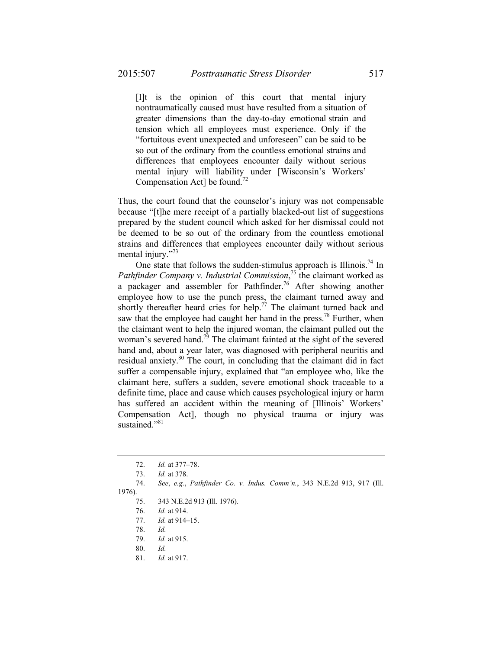[I]t is the opinion of this court that mental injury nontraumatically caused must have resulted from a situation of greater dimensions than the day-to-day emotional strain and tension which all employees must experience. Only if the "fortuitous event unexpected and unforeseen" can be said to be so out of the ordinary from the countless emotional strains and differences that employees encounter daily without serious mental injury will liability under [Wisconsin's Workers' Compensation Act] be found.<sup>72</sup>

Thus, the court found that the counselor's injury was not compensable because "[t]he mere receipt of a partially blacked-out list of suggestions prepared by the student council which asked for her dismissal could not be deemed to be so out of the ordinary from the countless emotional strains and differences that employees encounter daily without serious mental injury."<sup>73</sup>

One state that follows the sudden-stimulus approach is Illinois.<sup>74</sup> In *Pathfinder Company v. Industrial Commission*, <sup>75</sup> the claimant worked as a packager and assembler for Pathfinder.<sup>76</sup> After showing another employee how to use the punch press, the claimant turned away and shortly thereafter heard cries for help.<sup>77</sup> The claimant turned back and saw that the employee had caught her hand in the press.<sup>78</sup> Further, when the claimant went to help the injured woman, the claimant pulled out the woman's severed hand.<sup>79</sup> The claimant fainted at the sight of the severed hand and, about a year later, was diagnosed with peripheral neuritis and residual anxiety.<sup>80</sup> The court, in concluding that the claimant did in fact suffer a compensable injury, explained that "an employee who, like the claimant here, suffers a sudden, severe emotional shock traceable to a definite time, place and cause which causes psychological injury or harm has suffered an accident within the meaning of [Illinois' Workers' Compensation Act], though no physical trauma or injury was sustained."<sup>81</sup>

78. *Id.*

<sup>72.</sup> *Id.* at 377–78.

<sup>73.</sup> *Id.* at 378.

<sup>74.</sup> *See*, *e.g.*, *Pathfinder Co. v. Indus. Comm'n.*, 343 N.E.2d 913, 917 (Ill.

<sup>1976).</sup> 

<sup>75.</sup> 343 N.E.2d 913 (Ill. 1976).

<sup>76.</sup> *Id.* at 914.

<sup>77.</sup> *Id.* at 914–15.

<sup>79.</sup> *Id.* at 915.

<sup>80.</sup> *Id.*

<sup>81.</sup> *Id.* at 917.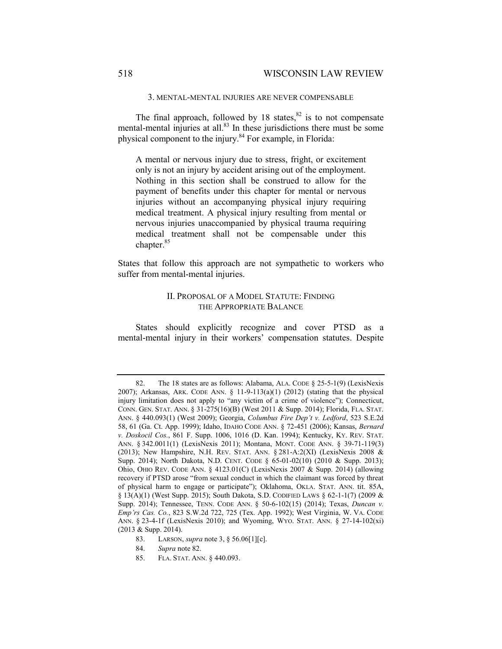3. MENTAL-MENTAL INJURIES ARE NEVER COMPENSABLE

The final approach, followed by 18 states, $82$  is to not compensate mental-mental injuries at all. $83$  In these jurisdictions there must be some physical component to the injury.<sup>84</sup> For example, in Florida:

A mental or nervous injury due to stress, fright, or excitement only is not an injury by accident arising out of the employment. Nothing in this section shall be construed to allow for the payment of benefits under this chapter for mental or nervous injuries without an accompanying physical injury requiring medical treatment. A physical injury resulting from mental or nervous injuries unaccompanied by physical trauma requiring medical treatment shall not be compensable under this chapter.<sup>85</sup>

States that follow this approach are not sympathetic to workers who suffer from mental-mental injuries.

### II. PROPOSAL OF A MODEL STATUTE: FINDING THE APPROPRIATE BALANCE

States should explicitly recognize and cover PTSD as a mental-mental injury in their workers' compensation statutes. Despite

<sup>82.</sup> The 18 states are as follows: Alabama, ALA. CODE § 25-5-1(9) (LexisNexis 2007); Arkansas, ARK. CODE ANN. § 11-9-113(a)(1) (2012) (stating that the physical injury limitation does not apply to "any victim of a crime of violence"); Connecticut, CONN. GEN. STAT. ANN. § 31-275(16)(B) (West 2011 & Supp. 2014); Florida, FLA. STAT. ANN. § 440.093(1) (West 2009); Georgia, *Columbus Fire Dep't v. Ledford*, 523 S.E.2d 58, 61 (Ga. Ct. App. 1999); Idaho, IDAHO CODE ANN. § 72-451 (2006); Kansas, *Bernard v. Doskocil Cos.*, 861 F. Supp. 1006, 1016 (D. Kan. 1994); Kentucky, KY. REV. STAT. ANN. § 342.0011(1) (LexisNexis 2011); Montana, MONT. CODE ANN. § 39-71-119(3) (2013); New Hampshire, N.H. REV. STAT. ANN.  $\S 281-A:2(XI)$  (LexisNexis 2008 & Supp. 2014); North Dakota, N.D. CENT. CODE § 65-01-02(10) (2010 & Supp. 2013); Ohio, OHIO REV. CODE ANN. § 4123.01(C) (LexisNexis 2007 & Supp. 2014) (allowing recovery if PTSD arose "from sexual conduct in which the claimant was forced by threat of physical harm to engage or participate"); Oklahoma, OKLA. STAT. ANN. tit. 85A, § 13(A)(1) (West Supp. 2015); South Dakota, S.D. CODIFIED LAWS § 62-1-1(7) (2009 & Supp. 2014); Tennessee, TENN. CODE ANN. § 50-6-102(15) (2014); Texas, *Duncan v. Emp'rs Cas. Co.*, 823 S.W.2d 722, 725 (Tex. App. 1992); West Virginia, W. VA. CODE ANN.  $\S$  23-4-1f (LexisNexis 2010); and Wyoming, Wyo. STAT. ANN.  $\S$  27-14-102(xi) (2013 & Supp. 2014).

<sup>83.</sup> LARSON, *supra* note 3, § 56.06[1][c].

<sup>84.</sup> *Supra* note 82.

<sup>85.</sup> FLA. STAT. ANN. § 440.093.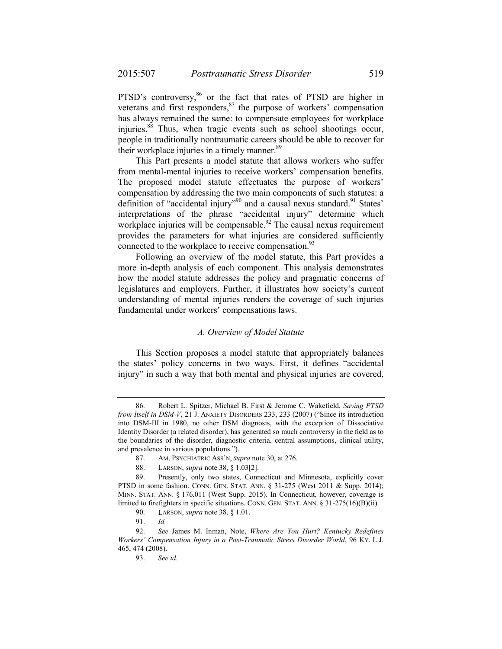PTSD's controversy,<sup>86</sup> or the fact that rates of PTSD are higher in veterans and first responders, $87$  the purpose of workers' compensation has always remained the same: to compensate employees for workplace injuries.88 Thus, when tragic events such as school shootings occur, people in traditionally nontraumatic careers should be able to recover for their workplace injuries in a timely manner.<sup>89</sup>

This Part presents a model statute that allows workers who suffer from mental-mental injuries to receive workers' compensation benefits. The proposed model statute effectuates the purpose of workers' compensation by addressing the two main components of such statutes: a definition of "accidental injury"<sup>90</sup> and a causal nexus standard.<sup>91</sup> States' interpretations of the phrase "accidental injury" determine which workplace injuries will be compensable.<sup>92</sup> The causal nexus requirement provides the parameters for what injuries are considered sufficiently connected to the workplace to receive compensation.<sup>93</sup>

Following an overview of the model statute, this Part provides a more in-depth analysis of each component. This analysis demonstrates how the model statute addresses the policy and pragmatic concerns of legislatures and employers. Further, it illustrates how society's current understanding of mental injuries renders the coverage of such injuries fundamental under workers' compensations laws.

#### *A. Overview of Model Statute*

This Section proposes a model statute that appropriately balances the states' policy concerns in two ways. First, it defines "accidental injury" in such a way that both mental and physical injuries are covered,

<sup>86.</sup> Robert L. Spitzer, Michael B. First & Jerome C. Wakefield, *Saving PTSD from Itself in DSM-V*, 21 J. ANXIETY DISORDERS 233, 233 (2007) ("Since its introduction into DSM-III in 1980, no other DSM diagnosis, with the exception of Dissociative Identity Disorder (a related disorder), has generated so much controversy in the field as to the boundaries of the disorder, diagnostic criteria, central assumptions, clinical utility, and prevalence in various populations.").

<sup>87.</sup> AM. PSYCHIATRIC ASS'N, *Supra* note 30, at 276.

<sup>88.</sup> LARSON, *supra* note 38, § 1.03[2].

<sup>89.</sup> Presently, only two states, Connecticut and Minnesota, explicitly cover PTSD in some fashion. CONN. GEN. STAT. ANN. § 31-275 (West 2011 & Supp. 2014); MINN. STAT. ANN. § 176.011 (West Supp. 2015). In Connecticut, however, coverage is limited to firefighters in specific situations. CONN. GEN. STAT. ANN. § 31-275(16)(B)(ii)*.* 

<sup>90.</sup> LARSON, *supra* note 38, § 1.01.

<sup>91.</sup> *Id.*

<sup>92.</sup> *See* James M. Inman, Note, *Where Are You Hurt? Kentucky Redefines Workers' Compensation Injury in a Post-Traumatic Stress Disorder World*, 96 KY. L.J. 465, 474 (2008).

<sup>93.</sup> *See id.*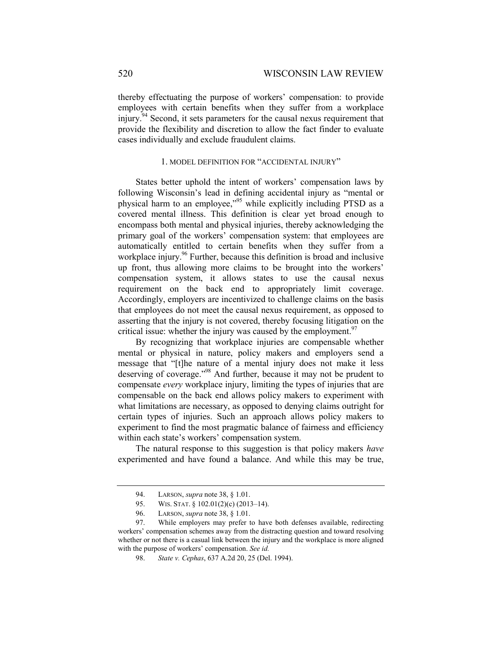thereby effectuating the purpose of workers' compensation: to provide employees with certain benefits when they suffer from a workplace injury.<sup>94</sup> Second, it sets parameters for the causal nexus requirement that provide the flexibility and discretion to allow the fact finder to evaluate cases individually and exclude fraudulent claims.

### 1. MODEL DEFINITION FOR "ACCIDENTAL INJURY"

States better uphold the intent of workers' compensation laws by following Wisconsin's lead in defining accidental injury as "mental or physical harm to an employee,"95 while explicitly including PTSD as a covered mental illness. This definition is clear yet broad enough to encompass both mental and physical injuries, thereby acknowledging the primary goal of the workers' compensation system: that employees are automatically entitled to certain benefits when they suffer from a workplace injury.<sup>96</sup> Further, because this definition is broad and inclusive up front, thus allowing more claims to be brought into the workers' compensation system, it allows states to use the causal nexus requirement on the back end to appropriately limit coverage. Accordingly, employers are incentivized to challenge claims on the basis that employees do not meet the causal nexus requirement, as opposed to asserting that the injury is not covered, thereby focusing litigation on the critical issue: whether the injury was caused by the employment.  $97$ 

By recognizing that workplace injuries are compensable whether mental or physical in nature, policy makers and employers send a message that "[t]he nature of a mental injury does not make it less deserving of coverage."98 And further, because it may not be prudent to compensate *every* workplace injury, limiting the types of injuries that are compensable on the back end allows policy makers to experiment with what limitations are necessary, as opposed to denying claims outright for certain types of injuries. Such an approach allows policy makers to experiment to find the most pragmatic balance of fairness and efficiency within each state's workers' compensation system.

The natural response to this suggestion is that policy makers *have* experimented and have found a balance. And while this may be true,

<sup>94.</sup> LARSON, *supra* note 38, § 1.01.

<sup>95.</sup> WIS. STAT. § 102.01(2)(c) (2013–14).

<sup>96.</sup> LARSON, *supra* note 38, § 1.01.

<sup>97.</sup> While employers may prefer to have both defenses available, redirecting workers' compensation schemes away from the distracting question and toward resolving whether or not there is a casual link between the injury and the workplace is more aligned with the purpose of workers' compensation. *See id.* 

<sup>98.</sup> *State v. Cephas*, 637 A.2d 20, 25 (Del. 1994).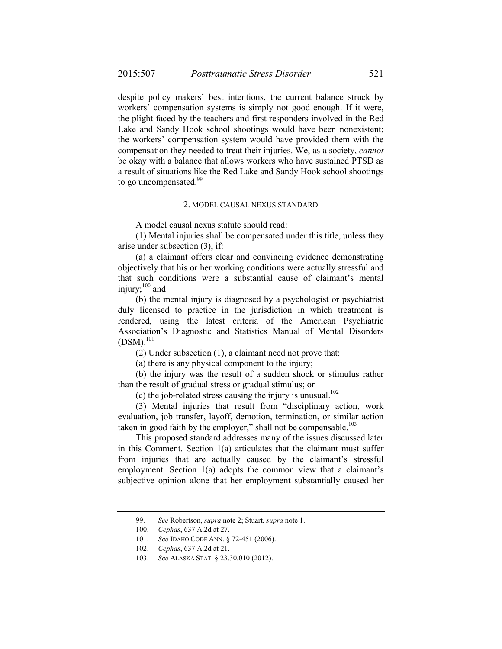despite policy makers' best intentions, the current balance struck by workers' compensation systems is simply not good enough. If it were, the plight faced by the teachers and first responders involved in the Red Lake and Sandy Hook school shootings would have been nonexistent; the workers' compensation system would have provided them with the compensation they needed to treat their injuries. We, as a society, *cannot* be okay with a balance that allows workers who have sustained PTSD as a result of situations like the Red Lake and Sandy Hook school shootings to go uncompensated.<sup>99</sup>

#### 2. MODEL CAUSAL NEXUS STANDARD

A model causal nexus statute should read:

(1) Mental injuries shall be compensated under this title, unless they arise under subsection (3), if:

(a) a claimant offers clear and convincing evidence demonstrating objectively that his or her working conditions were actually stressful and that such conditions were a substantial cause of claimant's mental injury; $^{100}$  and

(b) the mental injury is diagnosed by a psychologist or psychiatrist duly licensed to practice in the jurisdiction in which treatment is rendered, using the latest criteria of the American Psychiatric Association's Diagnostic and Statistics Manual of Mental Disorders  $(DSM).^{101}$ 

(2) Under subsection (1), a claimant need not prove that:

(a) there is any physical component to the injury;

(b) the injury was the result of a sudden shock or stimulus rather than the result of gradual stress or gradual stimulus; or

(c) the job-related stress causing the injury is unusual. $102$ 

(3) Mental injuries that result from "disciplinary action, work evaluation, job transfer, layoff, demotion, termination, or similar action taken in good faith by the employer," shall not be compensable. $103$ 

This proposed standard addresses many of the issues discussed later in this Comment. Section 1(a) articulates that the claimant must suffer from injuries that are actually caused by the claimant's stressful employment. Section 1(a) adopts the common view that a claimant's subjective opinion alone that her employment substantially caused her

<sup>99.</sup> *See* Robertson, *supra* note 2; Stuart, *supra* note 1.

 <sup>100.</sup> *Cephas*, 637 A.2d at 27.

 <sup>101.</sup> *See* IDAHO CODE ANN. § 72-451 (2006).

 <sup>102.</sup> *Cephas*, 637 A.2d at 21.

 <sup>103.</sup> *See* ALASKA STAT. § 23.30.010 (2012).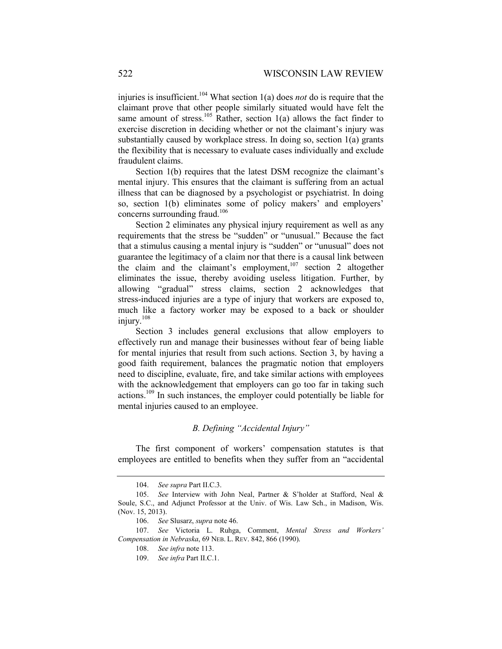injuries is insufficient.<sup>104</sup> What section 1(a) does *not* do is require that the claimant prove that other people similarly situated would have felt the same amount of stress.<sup>105</sup> Rather, section 1(a) allows the fact finder to exercise discretion in deciding whether or not the claimant's injury was substantially caused by workplace stress. In doing so, section 1(a) grants the flexibility that is necessary to evaluate cases individually and exclude fraudulent claims.

Section 1(b) requires that the latest DSM recognize the claimant's mental injury. This ensures that the claimant is suffering from an actual illness that can be diagnosed by a psychologist or psychiatrist. In doing so, section 1(b) eliminates some of policy makers' and employers' concerns surrounding fraud.<sup>106</sup>

Section 2 eliminates any physical injury requirement as well as any requirements that the stress be "sudden" or "unusual." Because the fact that a stimulus causing a mental injury is "sudden" or "unusual" does not guarantee the legitimacy of a claim nor that there is a causal link between the claim and the claimant's employment,<sup>107</sup> section 2 altogether eliminates the issue, thereby avoiding useless litigation. Further, by allowing "gradual" stress claims, section 2 acknowledges that stress-induced injuries are a type of injury that workers are exposed to, much like a factory worker may be exposed to a back or shoulder injury.108

Section 3 includes general exclusions that allow employers to effectively run and manage their businesses without fear of being liable for mental injuries that result from such actions. Section 3, by having a good faith requirement, balances the pragmatic notion that employers need to discipline, evaluate, fire, and take similar actions with employees with the acknowledgement that employers can go too far in taking such actions.109 In such instances, the employer could potentially be liable for mental injuries caused to an employee.

### *B. Defining "Accidental Injury"*

The first component of workers' compensation statutes is that employees are entitled to benefits when they suffer from an "accidental

 <sup>104.</sup> *See supra* Part II.C.3.

 <sup>105.</sup> *See* Interview with John Neal, Partner & S'holder at Stafford, Neal & Soule, S.C., and Adjunct Professor at the Univ. of Wis. Law Sch., in Madison, Wis. (Nov. 15, 2013).

 <sup>106.</sup> *See* Slusarz, *supra* note 46.

 <sup>107.</sup> *See* Victoria L. Ruhga, Comment, *Mental Stress and Workers' Compensation in Nebraska*, 69 NEB. L. REV. 842, 866 (1990).

 <sup>108.</sup> *See infra* note 113.

 <sup>109.</sup> *See infra* Part II.C.1.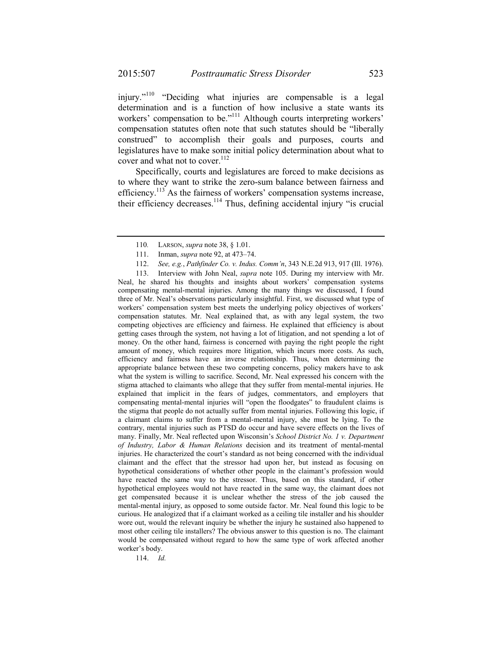injury."110 "Deciding what injuries are compensable is a legal determination and is a function of how inclusive a state wants its workers' compensation to be."<sup>111</sup> Although courts interpreting workers' compensation statutes often note that such statutes should be "liberally construed" to accomplish their goals and purposes, courts and legislatures have to make some initial policy determination about what to cover and what not to cover.<sup>112</sup>

Specifically, courts and legislatures are forced to make decisions as to where they want to strike the zero-sum balance between fairness and efficiency.113 As the fairness of workers' compensation systems increase, their efficiency decreases.<sup>114</sup> Thus, defining accidental injury "is crucial

113. Interview with John Neal, *supra* note 105. During my interview with Mr. Neal, he shared his thoughts and insights about workers' compensation systems compensating mental-mental injuries. Among the many things we discussed, I found three of Mr. Neal's observations particularly insightful. First, we discussed what type of workers' compensation system best meets the underlying policy objectives of workers' compensation statutes. Mr. Neal explained that, as with any legal system, the two competing objectives are efficiency and fairness. He explained that efficiency is about getting cases through the system, not having a lot of litigation, and not spending a lot of money. On the other hand, fairness is concerned with paying the right people the right amount of money, which requires more litigation, which incurs more costs. As such, efficiency and fairness have an inverse relationship. Thus, when determining the appropriate balance between these two competing concerns, policy makers have to ask what the system is willing to sacrifice. Second, Mr. Neal expressed his concern with the stigma attached to claimants who allege that they suffer from mental-mental injuries. He explained that implicit in the fears of judges, commentators, and employers that compensating mental-mental injuries will "open the floodgates" to fraudulent claims is the stigma that people do not actually suffer from mental injuries. Following this logic, if a claimant claims to suffer from a mental-mental injury, she must be lying. To the contrary, mental injuries such as PTSD do occur and have severe effects on the lives of many. Finally, Mr. Neal reflected upon Wisconsin's *School District No. 1 v. Department of Industry, Labor & Human Relations* decision and its treatment of mental-mental injuries. He characterized the court's standard as not being concerned with the individual claimant and the effect that the stressor had upon her, but instead as focusing on hypothetical considerations of whether other people in the claimant's profession would have reacted the same way to the stressor. Thus, based on this standard, if other hypothetical employees would not have reacted in the same way, the claimant does not get compensated because it is unclear whether the stress of the job caused the mental-mental injury, as opposed to some outside factor. Mr. Neal found this logic to be curious. He analogized that if a claimant worked as a ceiling tile installer and his shoulder wore out, would the relevant inquiry be whether the injury he sustained also happened to most other ceiling tile installers? The obvious answer to this question is no. The claimant would be compensated without regard to how the same type of work affected another worker's body.

114. *Id.* 

<sup>110</sup>*.* LARSON, *supra* note 38, § 1.01.

 <sup>111.</sup> Inman, *supra* note 92, at 473–74.

 <sup>112.</sup> *See, e.g.*, *Pathfinder Co. v. Indus. Comm'n*, 343 N.E.2d 913, 917 (Ill. 1976).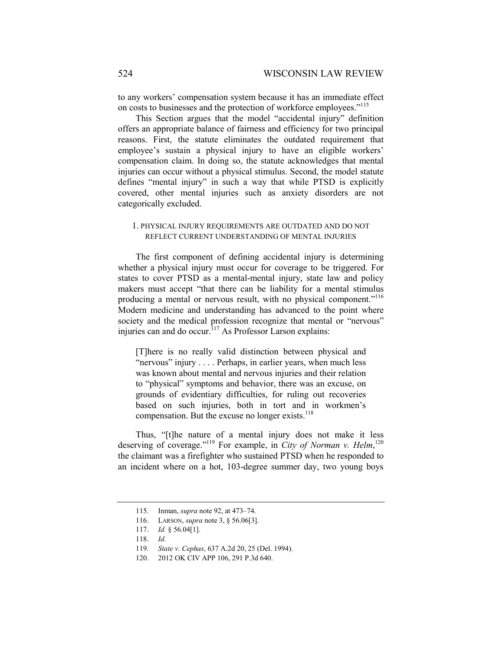to any workers' compensation system because it has an immediate effect on costs to businesses and the protection of workforce employees."<sup>115</sup>

This Section argues that the model "accidental injury" definition offers an appropriate balance of fairness and efficiency for two principal reasons. First, the statute eliminates the outdated requirement that employee's sustain a physical injury to have an eligible workers' compensation claim. In doing so, the statute acknowledges that mental injuries can occur without a physical stimulus. Second, the model statute defines "mental injury" in such a way that while PTSD is explicitly covered, other mental injuries such as anxiety disorders are not categorically excluded.

### 1. PHYSICAL INJURY REQUIREMENTS ARE OUTDATED AND DO NOT REFLECT CURRENT UNDERSTANDING OF MENTAL INJURIES

The first component of defining accidental injury is determining whether a physical injury must occur for coverage to be triggered. For states to cover PTSD as a mental-mental injury, state law and policy makers must accept "that there can be liability for a mental stimulus producing a mental or nervous result, with no physical component."<sup>116</sup> Modern medicine and understanding has advanced to the point where society and the medical profession recognize that mental or "nervous" injuries can and do occur.<sup>117</sup> As Professor Larson explains:

[T]here is no really valid distinction between physical and "nervous" injury . . . . Perhaps, in earlier years, when much less was known about mental and nervous injuries and their relation to "physical" symptoms and behavior, there was an excuse, on grounds of evidentiary difficulties, for ruling out recoveries based on such injuries, both in tort and in workmen's compensation. But the excuse no longer exists. $118$ 

Thus, "[t]he nature of a mental injury does not make it less deserving of coverage."<sup>119</sup> For example, in *City of Norman v. Helm*,<sup>120</sup> the claimant was a firefighter who sustained PTSD when he responded to an incident where on a hot, 103-degree summer day, two young boys

 <sup>115.</sup> Inman, *supra* note 92, at 473–74.

 <sup>116.</sup> LARSON, *supra* note 3, § 56.06[3].

 <sup>117.</sup> *Id.* § 56.04[1].

 <sup>118.</sup> *Id.*

 <sup>119.</sup> *State v. Cephas*, 637 A.2d 20, 25 (Del. 1994).

<sup>120. 2012</sup> OK CIV APP 106, 291 P.3d 640.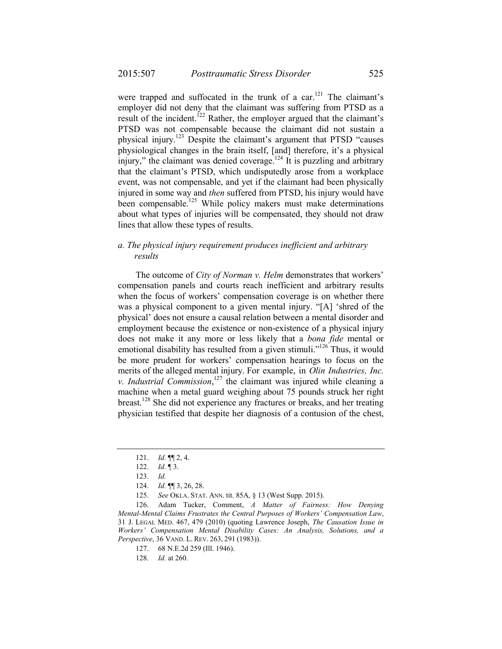were trapped and suffocated in the trunk of a car.<sup>121</sup> The claimant's employer did not deny that the claimant was suffering from PTSD as a result of the incident.<sup>122</sup> Rather, the employer argued that the claimant's PTSD was not compensable because the claimant did not sustain a physical injury.123 Despite the claimant's argument that PTSD "causes physiological changes in the brain itself, [and] therefore, it's a physical injury," the claimant was denied coverage.<sup>124</sup> It is puzzling and arbitrary that the claimant's PTSD, which undisputedly arose from a workplace event, was not compensable, and yet if the claimant had been physically injured in some way and *then* suffered from PTSD, his injury would have been compensable.<sup>125</sup> While policy makers must make determinations about what types of injuries will be compensated, they should not draw lines that allow these types of results.

## *a. The physical injury requirement produces inefficient and arbitrary results*

The outcome of *City of Norman v. Helm* demonstrates that workers' compensation panels and courts reach inefficient and arbitrary results when the focus of workers' compensation coverage is on whether there was a physical component to a given mental injury. "[A] 'shred of the physical' does not ensure a causal relation between a mental disorder and employment because the existence or non-existence of a physical injury does not make it any more or less likely that a *bona fide* mental or emotional disability has resulted from a given stimuli."<sup>126</sup> Thus, it would be more prudent for workers' compensation hearings to focus on the merits of the alleged mental injury. For example, in *Olin Industries, Inc. v. Industrial Commission*, 127 the claimant was injured while cleaning a machine when a metal guard weighing about 75 pounds struck her right breast.128 She did not experience any fractures or breaks, and her treating physician testified that despite her diagnosis of a contusion of the chest,

 <sup>121.</sup> *Id.* ¶¶ 2, 4.

 <sup>122.</sup> *Id.* ¶ 3.

 <sup>123.</sup> *Id.*

 <sup>124.</sup> *Id.* ¶¶ 3, 26, 28.

 <sup>125.</sup> *See* OKLA. STAT. ANN. tit. 85A, § 13 (West Supp. 2015).

 <sup>126.</sup> Adam Tucker, Comment, *A Matter of Fairness: How Denying Mental-Mental Claims Frustrates the Central Purposes of Workers' Compensation Law*, 31 J. LEGAL MED. 467, 479 (2010) (quoting Lawrence Joseph, *The Causation Issue in Workers' Compensation Mental Disability Cases: An Analysis, Solutions, and a Perspective*, 36 VAND. L. REV. 263, 291 (1983)).

<sup>127. 68</sup> N.E.2d 259 (Ill. 1946).

 <sup>128.</sup> *Id.* at 260.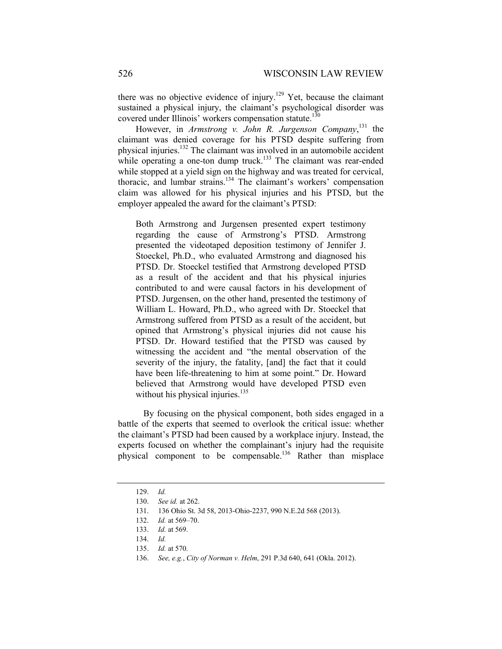there was no objective evidence of injury.<sup>129</sup> Yet, because the claimant sustained a physical injury, the claimant's psychological disorder was covered under Illinois' workers compensation statute.<sup>130</sup>

However, in *Armstrong v. John R. Jurgenson Company*, 131 the claimant was denied coverage for his PTSD despite suffering from physical injuries.132 The claimant was involved in an automobile accident while operating a one-ton dump truck.<sup>133</sup> The claimant was rear-ended while stopped at a yield sign on the highway and was treated for cervical, thoracic, and lumbar strains.134 The claimant's workers' compensation claim was allowed for his physical injuries and his PTSD, but the employer appealed the award for the claimant's PTSD:

Both Armstrong and Jurgensen presented expert testimony regarding the cause of Armstrong's PTSD. Armstrong presented the videotaped deposition testimony of Jennifer J. Stoeckel, Ph.D., who evaluated Armstrong and diagnosed his PTSD. Dr. Stoeckel testified that Armstrong developed PTSD as a result of the accident and that his physical injuries contributed to and were causal factors in his development of PTSD. Jurgensen, on the other hand, presented the testimony of William L. Howard, Ph.D., who agreed with Dr. Stoeckel that Armstrong suffered from PTSD as a result of the accident, but opined that Armstrong's physical injuries did not cause his PTSD. Dr. Howard testified that the PTSD was caused by witnessing the accident and "the mental observation of the severity of the injury, the fatality, [and] the fact that it could have been life-threatening to him at some point." Dr. Howard believed that Armstrong would have developed PTSD even without his physical injuries.<sup>135</sup>

By focusing on the physical component, both sides engaged in a battle of the experts that seemed to overlook the critical issue: whether the claimant's PTSD had been caused by a workplace injury. Instead, the experts focused on whether the complainant's injury had the requisite physical component to be compensable.<sup>136</sup> Rather than misplace

 <sup>129.</sup> *Id.*

 <sup>130.</sup> *See id.* at 262.

<sup>131. 136</sup> Ohio St. 3d 58, 2013-Ohio-2237, 990 N.E.2d 568 (2013).

 <sup>132.</sup> *Id.* at 569–70.

 <sup>133.</sup> *Id.* at 569.

 <sup>134.</sup> *Id.*

 <sup>135.</sup> *Id.* at 570.

 <sup>136.</sup> *See, e.g.*, *City of Norman v. Helm*, 291 P.3d 640, 641 (Okla. 2012).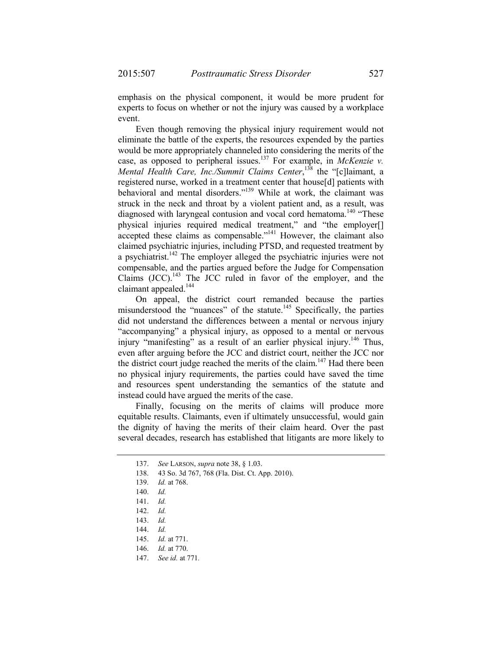emphasis on the physical component, it would be more prudent for experts to focus on whether or not the injury was caused by a workplace event.

Even though removing the physical injury requirement would not eliminate the battle of the experts, the resources expended by the parties would be more appropriately channeled into considering the merits of the case, as opposed to peripheral issues.137 For example, in *McKenzie v.*  Mental Health Care, Inc./Summit Claims Center,<sup>138</sup> the "[c]laimant, a registered nurse, worked in a treatment center that house[d] patients with behavioral and mental disorders."<sup>139</sup> While at work, the claimant was struck in the neck and throat by a violent patient and, as a result, was diagnosed with laryngeal contusion and vocal cord hematoma.<sup>140</sup> "These physical injuries required medical treatment," and "the employer[] accepted these claims as compensable."141 However, the claimant also claimed psychiatric injuries, including PTSD, and requested treatment by a psychiatrist.<sup>142</sup> The employer alleged the psychiatric injuries were not compensable, and the parties argued before the Judge for Compensation Claims  $(JCC)$ .<sup>143</sup> The JCC ruled in favor of the employer, and the claimant appealed.<sup>144</sup>

On appeal, the district court remanded because the parties misunderstood the "nuances" of the statute.<sup>145</sup> Specifically, the parties did not understand the differences between a mental or nervous injury "accompanying" a physical injury, as opposed to a mental or nervous injury "manifesting" as a result of an earlier physical injury.<sup>146</sup> Thus, even after arguing before the JCC and district court, neither the JCC nor the district court judge reached the merits of the claim.<sup>147</sup> Had there been no physical injury requirements, the parties could have saved the time and resources spent understanding the semantics of the statute and instead could have argued the merits of the case.

Finally, focusing on the merits of claims will produce more equitable results. Claimants, even if ultimately unsuccessful, would gain the dignity of having the merits of their claim heard. Over the past several decades, research has established that litigants are more likely to

144. *Id.*

 <sup>137.</sup> *See* LARSON, *supra* note 38, § 1.03.

<sup>138. 43</sup> So. 3d 767, 768 (Fla. Dist. Ct. App. 2010).

 <sup>139.</sup> *Id.* at 768.

 <sup>140.</sup> *Id.* 

 <sup>141.</sup> *Id.*

 <sup>142.</sup> *Id.*

 <sup>143.</sup> *Id.*

 <sup>145.</sup> *Id.* at 771.

 <sup>146.</sup> *Id.* at 770.

 <sup>147.</sup> *See id.* at 771*.*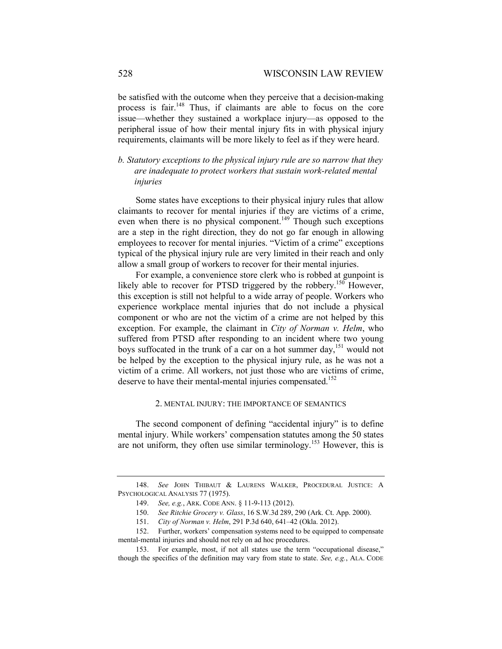be satisfied with the outcome when they perceive that a decision-making process is fair.<sup>148</sup> Thus, if claimants are able to focus on the core issue—whether they sustained a workplace injury—as opposed to the peripheral issue of how their mental injury fits in with physical injury requirements, claimants will be more likely to feel as if they were heard.

## *b. Statutory exceptions to the physical injury rule are so narrow that they are inadequate to protect workers that sustain work-related mental injuries*

Some states have exceptions to their physical injury rules that allow claimants to recover for mental injuries if they are victims of a crime, even when there is no physical component.<sup> $149$ </sup> Though such exceptions are a step in the right direction, they do not go far enough in allowing employees to recover for mental injuries. "Victim of a crime" exceptions typical of the physical injury rule are very limited in their reach and only allow a small group of workers to recover for their mental injuries.

For example, a convenience store clerk who is robbed at gunpoint is likely able to recover for PTSD triggered by the robbery.<sup>150</sup> However, this exception is still not helpful to a wide array of people. Workers who experience workplace mental injuries that do not include a physical component or who are not the victim of a crime are not helped by this exception. For example, the claimant in *City of Norman v. Helm*, who suffered from PTSD after responding to an incident where two young boys suffocated in the trunk of a car on a hot summer  $day$ <sup>151</sup> would not be helped by the exception to the physical injury rule, as he was not a victim of a crime. All workers, not just those who are victims of crime, deserve to have their mental-mental injuries compensated.<sup>152</sup>

#### 2. MENTAL INJURY: THE IMPORTANCE OF SEMANTICS

The second component of defining "accidental injury" is to define mental injury. While workers' compensation statutes among the 50 states are not uniform, they often use similar terminology.<sup>153</sup> However, this is

 <sup>148.</sup> *See* JOHN THIBAUT & LAURENS WALKER, PROCEDURAL JUSTICE: A PSYCHOLOGICAL ANALYSIS 77 (1975).

 <sup>149.</sup> *See, e.g.*, ARK. CODE ANN. § 11-9-113 (2012).

 <sup>150.</sup> *See Ritchie Grocery v. Glass*, 16 S.W.3d 289, 290 (Ark. Ct. App. 2000).

 <sup>151.</sup> *City of Norman v. Helm*, 291 P.3d 640, 641–42 (Okla. 2012).

<sup>152.</sup> Further, workers' compensation systems need to be equipped to compensate mental-mental injuries and should not rely on ad hoc procedures.

<sup>153.</sup> For example, most, if not all states use the term "occupational disease," though the specifics of the definition may vary from state to state. *See, e.g.*, ALA. CODE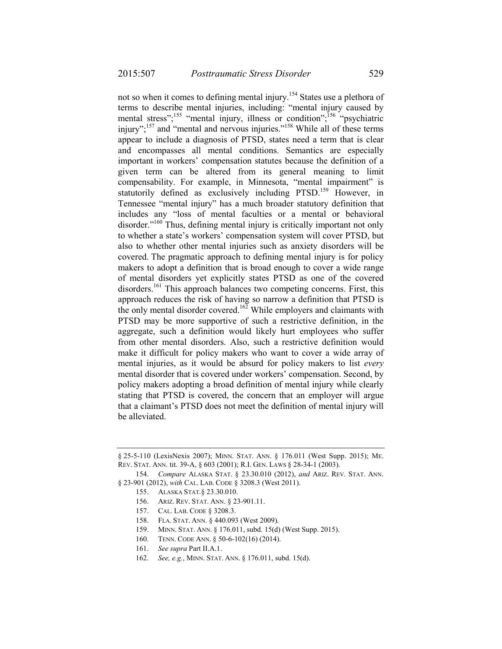not so when it comes to defining mental injury.<sup>154</sup> States use a plethora of terms to describe mental injuries, including: "mental injury caused by mental stress";<sup>155</sup> "mental injury, illness or condition";<sup>156</sup> "psychiatric injury";<sup>157</sup> and "mental and nervous injuries."<sup>158</sup> While all of these terms appear to include a diagnosis of PTSD, states need a term that is clear and encompasses all mental conditions. Semantics are especially important in workers' compensation statutes because the definition of a given term can be altered from its general meaning to limit compensability. For example, in Minnesota, "mental impairment" is statutorily defined as exclusively including PTSD.<sup>159</sup> However, in Tennessee "mental injury" has a much broader statutory definition that includes any "loss of mental faculties or a mental or behavioral disorder."<sup>160</sup> Thus, defining mental injury is critically important not only to whether a state's workers' compensation system will cover PTSD, but also to whether other mental injuries such as anxiety disorders will be covered. The pragmatic approach to defining mental injury is for policy makers to adopt a definition that is broad enough to cover a wide range of mental disorders yet explicitly states PTSD as one of the covered disorders.<sup>161</sup> This approach balances two competing concerns. First, this approach reduces the risk of having so narrow a definition that PTSD is the only mental disorder covered.<sup>162</sup> While employers and claimants with PTSD may be more supportive of such a restrictive definition, in the aggregate, such a definition would likely hurt employees who suffer from other mental disorders. Also, such a restrictive definition would make it difficult for policy makers who want to cover a wide array of mental injuries, as it would be absurd for policy makers to list *every* mental disorder that is covered under workers' compensation. Second, by policy makers adopting a broad definition of mental injury while clearly stating that PTSD is covered, the concern that an employer will argue that a claimant's PTSD does not meet the definition of mental injury will be alleviated.

- 156. ARIZ. REV. STAT. ANN. § 23-901.11.
- 157. CAL. LAB. CODE § 3208.3.
- 158. FLA. STAT. ANN. § 440.093 (West 2009).
- 159. MINN. STAT. ANN. § 176.011, subd. 15(d) (West Supp. 2015).
- 160. TENN. CODE ANN. § 50-6-102(16) (2014).
- 161. *See supra* Part II.A.1.
- 162. *See, e.g.*, MINN. STAT. ANN. § 176.011, subd. 15(d).

<sup>§</sup> 25-5-110 (LexisNexis 2007); MINN. STAT. ANN. § 176.011 (West Supp. 2015); ME. REV. STAT. ANN. tit. 39-A, § 603 (2001); R.I. GEN. LAWS § 28-34-1 (2003).

 <sup>154.</sup> *Compare* ALASKA STAT. § 23.30.010 (2012), *and* ARIZ. REV. STAT. ANN. § 23-901 (2012), *with* CAL. LAB. CODE § 3208.3 (West 2011).

 <sup>155.</sup> ALASKA STAT.§ 23.30.010.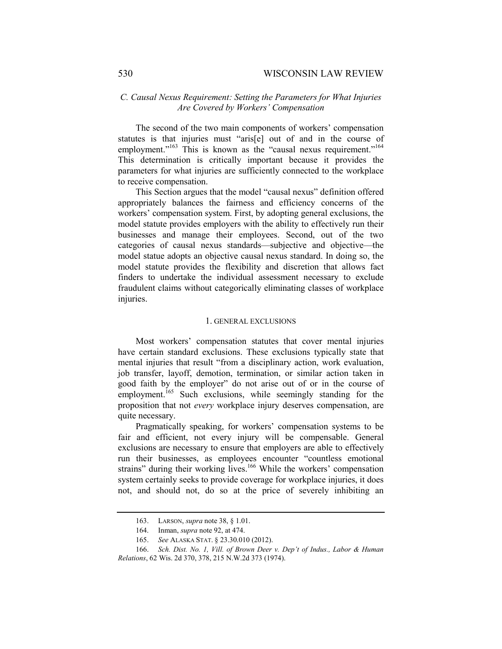### *C. Causal Nexus Requirement: Setting the Parameters for What Injuries Are Covered by Workers' Compensation*

The second of the two main components of workers' compensation statutes is that injuries must "aris[e] out of and in the course of employment."<sup>163</sup> This is known as the "causal nexus requirement."<sup>164</sup> This determination is critically important because it provides the parameters for what injuries are sufficiently connected to the workplace to receive compensation.

This Section argues that the model "causal nexus" definition offered appropriately balances the fairness and efficiency concerns of the workers' compensation system. First, by adopting general exclusions, the model statute provides employers with the ability to effectively run their businesses and manage their employees. Second, out of the two categories of causal nexus standards—subjective and objective—the model statue adopts an objective causal nexus standard. In doing so, the model statute provides the flexibility and discretion that allows fact finders to undertake the individual assessment necessary to exclude fraudulent claims without categorically eliminating classes of workplace injuries.

#### 1. GENERAL EXCLUSIONS

Most workers' compensation statutes that cover mental injuries have certain standard exclusions. These exclusions typically state that mental injuries that result "from a disciplinary action, work evaluation, job transfer, layoff, demotion, termination, or similar action taken in good faith by the employer" do not arise out of or in the course of employment.<sup>165</sup> Such exclusions, while seemingly standing for the proposition that not *every* workplace injury deserves compensation, are quite necessary.

Pragmatically speaking, for workers' compensation systems to be fair and efficient, not every injury will be compensable. General exclusions are necessary to ensure that employers are able to effectively run their businesses, as employees encounter "countless emotional strains" during their working lives.<sup>166</sup> While the workers' compensation system certainly seeks to provide coverage for workplace injuries, it does not, and should not, do so at the price of severely inhibiting an

 <sup>163.</sup> LARSON, *supra* note 38, § 1.01.

 <sup>164.</sup> Inman, *supra* note 92, at 474.

 <sup>165.</sup> *See* ALASKA STAT. § 23.30.010 (2012).

 <sup>166.</sup> *Sch. Dist. No. 1, Vill. of Brown Deer v. Dep't of Indus., Labor & Human Relations*, 62 Wis. 2d 370, 378, 215 N.W.2d 373 (1974).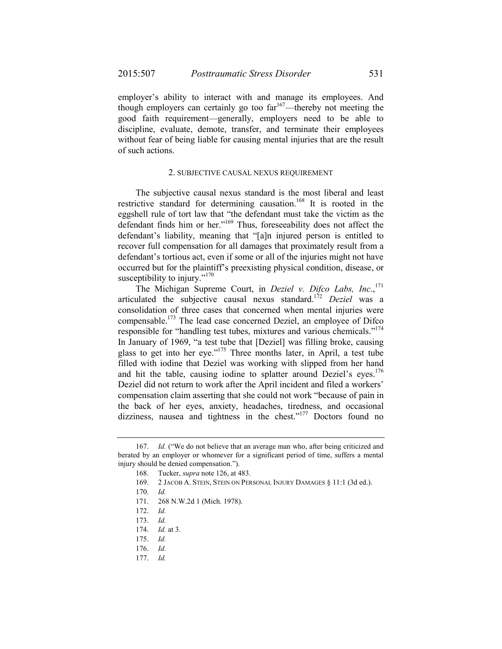employer's ability to interact with and manage its employees. And though employers can certainly go too far<sup>167</sup>—thereby not meeting the good faith requirement—generally, employers need to be able to discipline, evaluate, demote, transfer, and terminate their employees without fear of being liable for causing mental injuries that are the result of such actions.

#### 2. SUBJECTIVE CAUSAL NEXUS REQUIREMENT

The subjective causal nexus standard is the most liberal and least restrictive standard for determining causation.<sup>168</sup> It is rooted in the eggshell rule of tort law that "the defendant must take the victim as the defendant finds him or her."169 Thus, foreseeability does not affect the defendant's liability, meaning that "[a]n injured person is entitled to recover full compensation for all damages that proximately result from a defendant's tortious act, even if some or all of the injuries might not have occurred but for the plaintiff's preexisting physical condition, disease, or susceptibility to injury." $170$ 

The Michigan Supreme Court, in *Deziel v. Difco Labs, Inc.*,<sup>171</sup> articulated the subjective causal nexus standard.172 *Deziel* was a consolidation of three cases that concerned when mental injuries were compensable.173 The lead case concerned Deziel, an employee of Difco responsible for "handling test tubes, mixtures and various chemicals."<sup>174</sup> In January of 1969, "a test tube that [Deziel] was filling broke, causing glass to get into her eye."175 Three months later, in April, a test tube filled with iodine that Deziel was working with slipped from her hand and hit the table, causing iodine to splatter around Deziel's eyes.<sup>176</sup> Deziel did not return to work after the April incident and filed a workers' compensation claim asserting that she could not work "because of pain in the back of her eyes, anxiety, headaches, tiredness, and occasional dizziness, nausea and tightness in the chest."<sup>177</sup> Doctors found no

 <sup>167.</sup> *Id.* ("We do not believe that an average man who, after being criticized and berated by an employer or whomever for a significant period of time, suffers a mental injury should be denied compensation.").

 <sup>168.</sup> Tucker, *supra* note 126, at 483.

 <sup>169. 2</sup> JACOB A. STEIN, STEIN ON PERSONAL INJURY DAMAGES § 11:1 (3d ed.).

 <sup>170.</sup> *Id.*

<sup>171. 268</sup> N.W.2d 1 (Mich. 1978).

 <sup>172.</sup> *Id.*

 <sup>173.</sup> *Id.*

 <sup>174.</sup> *Id.* at 3.

 <sup>175.</sup> *Id.*

 <sup>176.</sup> *Id.*

 <sup>177.</sup> *Id.*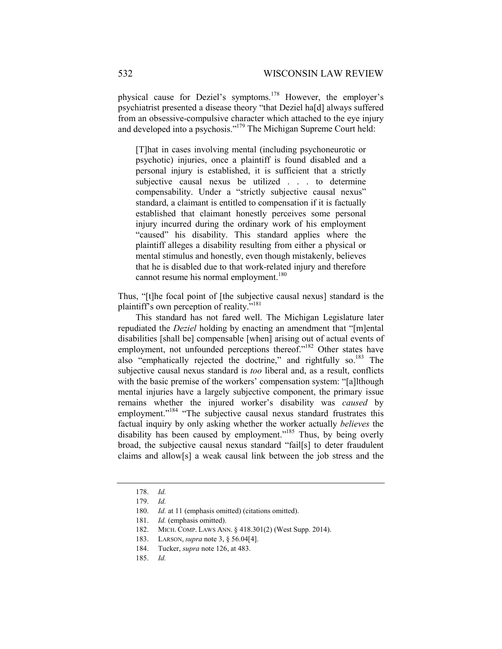physical cause for Deziel's symptoms.178 However, the employer's psychiatrist presented a disease theory "that Deziel ha[d] always suffered from an obsessive-compulsive character which attached to the eye injury and developed into a psychosis."179 The Michigan Supreme Court held:

[T]hat in cases involving mental (including psychoneurotic or psychotic) injuries, once a plaintiff is found disabled and a personal injury is established, it is sufficient that a strictly subjective causal nexus be utilized . . . to determine compensability. Under a "strictly subjective causal nexus" standard, a claimant is entitled to compensation if it is factually established that claimant honestly perceives some personal injury incurred during the ordinary work of his employment "caused" his disability. This standard applies where the plaintiff alleges a disability resulting from either a physical or mental stimulus and honestly, even though mistakenly, believes that he is disabled due to that work-related injury and therefore cannot resume his normal employment.<sup>180</sup>

Thus, "[t]he focal point of [the subjective causal nexus] standard is the plaintiff's own perception of reality."181

This standard has not fared well. The Michigan Legislature later repudiated the *Deziel* holding by enacting an amendment that "[m]ental disabilities [shall be] compensable [when] arising out of actual events of employment, not unfounded perceptions thereof."<sup>182</sup> Other states have also "emphatically rejected the doctrine," and rightfully so.<sup>183</sup> The subjective causal nexus standard is *too* liberal and, as a result, conflicts with the basic premise of the workers' compensation system: "[a]lthough mental injuries have a largely subjective component, the primary issue remains whether the injured worker's disability was *caused* by employment."<sup>184</sup> "The subjective causal nexus standard frustrates this factual inquiry by only asking whether the worker actually *believes* the disability has been caused by employment."<sup>185</sup> Thus, by being overly broad, the subjective causal nexus standard "fail[s] to deter fraudulent claims and allow[s] a weak causal link between the job stress and the

 <sup>178.</sup> *Id.* 

 <sup>179.</sup> *Id.*

 <sup>180.</sup> *Id.* at 11 (emphasis omitted) (citations omitted).

 <sup>181.</sup> *Id.* (emphasis omitted).

 <sup>182.</sup> MICH. COMP. LAWS ANN. § 418.301(2) (West Supp. 2014).

 <sup>183.</sup> LARSON, *supra* note 3, § 56.04[4].

 <sup>184.</sup> Tucker, *supra* note 126, at 483.

 <sup>185.</sup> *Id.*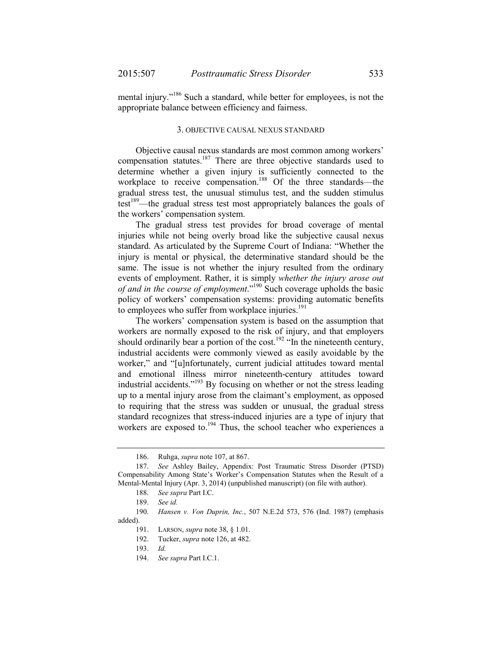mental injury."<sup>186</sup> Such a standard, while better for employees, is not the appropriate balance between efficiency and fairness.

#### 3. OBJECTIVE CAUSAL NEXUS STANDARD

Objective causal nexus standards are most common among workers' compensation statutes.<sup>187</sup> There are three objective standards used to determine whether a given injury is sufficiently connected to the workplace to receive compensation.<sup>188</sup> Of the three standards—the gradual stress test, the unusual stimulus test, and the sudden stimulus test<sup>189</sup>—the gradual stress test most appropriately balances the goals of the workers' compensation system.

The gradual stress test provides for broad coverage of mental injuries while not being overly broad like the subjective causal nexus standard. As articulated by the Supreme Court of Indiana: "Whether the injury is mental or physical, the determinative standard should be the same. The issue is not whether the injury resulted from the ordinary events of employment. Rather, it is simply *whether the injury arose out of and in the course of employment*."190 Such coverage upholds the basic policy of workers' compensation systems: providing automatic benefits to employees who suffer from workplace injuries.<sup>191</sup>

The workers' compensation system is based on the assumption that workers are normally exposed to the risk of injury, and that employers should ordinarily bear a portion of the cost.<sup>192</sup> "In the nineteenth century, industrial accidents were commonly viewed as easily avoidable by the worker," and "[u]nfortunately, current judicial attitudes toward mental and emotional illness mirror nineteenth-century attitudes toward industrial accidents."193 By focusing on whether or not the stress leading up to a mental injury arose from the claimant's employment, as opposed to requiring that the stress was sudden or unusual, the gradual stress standard recognizes that stress-induced injuries are a type of injury that workers are exposed to.<sup>194</sup> Thus, the school teacher who experiences a

 <sup>186.</sup> Ruhga, *supra* note 107, at 867.

 <sup>187.</sup> *See* Ashley Bailey, Appendix: Post Traumatic Stress Disorder (PTSD) Compensability Among State's Worker's Compensation Statutes when the Result of a Mental-Mental Injury (Apr. 3, 2014) (unpublished manuscript) (on file with author).

 <sup>188.</sup> *See supra* Part I.C.

 <sup>189.</sup> *See id.*

 <sup>190.</sup> *Hansen v. Von Duprin, Inc.*, 507 N.E.2d 573, 576 (Ind. 1987) (emphasis added).

 <sup>191.</sup> LARSON, *supra* note 38, § 1.01.

 <sup>192.</sup> Tucker, *supra* note 126, at 482.

 <sup>193.</sup> *Id.*

 <sup>194.</sup> *See supra* Part I.C.1.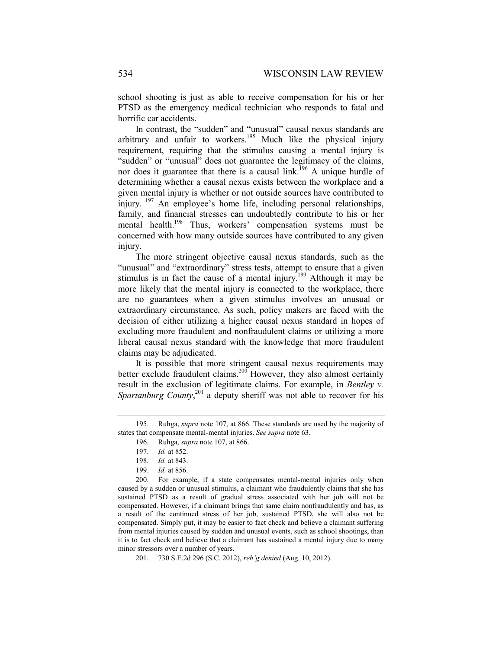school shooting is just as able to receive compensation for his or her PTSD as the emergency medical technician who responds to fatal and horrific car accidents.

In contrast, the "sudden" and "unusual" causal nexus standards are arbitrary and unfair to workers.195 Much like the physical injury requirement, requiring that the stimulus causing a mental injury is "sudden" or "unusual" does not guarantee the legitimacy of the claims, nor does it guarantee that there is a causal link.<sup>196</sup> A unique hurdle of determining whether a causal nexus exists between the workplace and a given mental injury is whether or not outside sources have contributed to injury. 197 An employee's home life, including personal relationships, family, and financial stresses can undoubtedly contribute to his or her mental health.198 Thus, workers' compensation systems must be concerned with how many outside sources have contributed to any given injury.

The more stringent objective causal nexus standards, such as the "unusual" and "extraordinary" stress tests, attempt to ensure that a given stimulus is in fact the cause of a mental injury.<sup>199</sup> Although it may be more likely that the mental injury is connected to the workplace, there are no guarantees when a given stimulus involves an unusual or extraordinary circumstance. As such, policy makers are faced with the decision of either utilizing a higher causal nexus standard in hopes of excluding more fraudulent and nonfraudulent claims or utilizing a more liberal causal nexus standard with the knowledge that more fraudulent claims may be adjudicated.

It is possible that more stringent causal nexus requirements may better exclude fraudulent claims.<sup>200</sup> However, they also almost certainly result in the exclusion of legitimate claims. For example, in *Bentley v.*  Spartanburg County,<sup>201</sup> a deputy sheriff was not able to recover for his

200. For example, if a state compensates mental-mental injuries only when caused by a sudden or unusual stimulus, a claimant who fraudulently claims that she has sustained PTSD as a result of gradual stress associated with her job will not be compensated. However, if a claimant brings that same claim nonfraudulently and has, as a result of the continued stress of her job, sustained PTSD, she will also not be compensated. Simply put, it may be easier to fact check and believe a claimant suffering from mental injuries caused by sudden and unusual events, such as school shootings, than it is to fact check and believe that a claimant has sustained a mental injury due to many minor stressors over a number of years.

201. 730 S.E.2d 296 (S.C. 2012), *reh'g denied* (Aug. 10, 2012).

 <sup>195.</sup> Ruhga, *supra* note 107, at 866. These standards are used by the majority of states that compensate mental-mental injuries. *See supra* note 63.

 <sup>196.</sup> Ruhga, *supra* note 107, at 866.

 <sup>197.</sup> *Id.* at 852.

 <sup>198.</sup> *Id.* at 843.

 <sup>199.</sup> *Id.* at 856.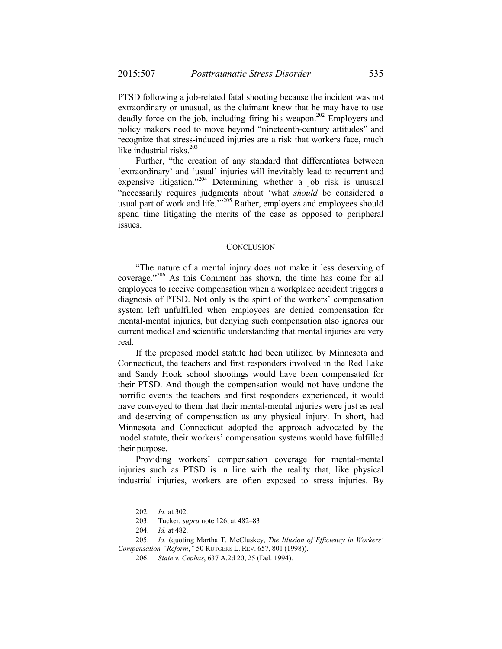PTSD following a job-related fatal shooting because the incident was not extraordinary or unusual, as the claimant knew that he may have to use deadly force on the job, including firing his weapon.<sup>202</sup> Employers and policy makers need to move beyond "nineteenth-century attitudes" and recognize that stress-induced injuries are a risk that workers face, much like industrial risks. $203$ 

Further, "the creation of any standard that differentiates between 'extraordinary' and 'usual' injuries will inevitably lead to recurrent and expensive litigation."<sup>204</sup> Determining whether a job risk is unusual "necessarily requires judgments about 'what *should* be considered a usual part of work and life."<sup>205</sup> Rather, employers and employees should spend time litigating the merits of the case as opposed to peripheral issues.

#### **CONCLUSION**

"The nature of a mental injury does not make it less deserving of coverage."206 As this Comment has shown, the time has come for all employees to receive compensation when a workplace accident triggers a diagnosis of PTSD. Not only is the spirit of the workers' compensation system left unfulfilled when employees are denied compensation for mental-mental injuries, but denying such compensation also ignores our current medical and scientific understanding that mental injuries are very real.

If the proposed model statute had been utilized by Minnesota and Connecticut, the teachers and first responders involved in the Red Lake and Sandy Hook school shootings would have been compensated for their PTSD. And though the compensation would not have undone the horrific events the teachers and first responders experienced, it would have conveyed to them that their mental-mental injuries were just as real and deserving of compensation as any physical injury. In short, had Minnesota and Connecticut adopted the approach advocated by the model statute, their workers' compensation systems would have fulfilled their purpose.

Providing workers' compensation coverage for mental-mental injuries such as PTSD is in line with the reality that, like physical industrial injuries, workers are often exposed to stress injuries. By

 <sup>202.</sup> *Id.* at 302.

 <sup>203.</sup> Tucker, *supra* note 126, at 482–83.

 <sup>204.</sup> *Id.* at 482.

 <sup>205.</sup> *Id.* (quoting Martha T. McCluskey, *The Illusion of Efficiency in Workers' Compensation "Reform*,*"* 50 RUTGERS L. REV. 657, 801 (1998)).

 <sup>206.</sup> *State v. Cephas*, 637 A.2d 20, 25 (Del. 1994).